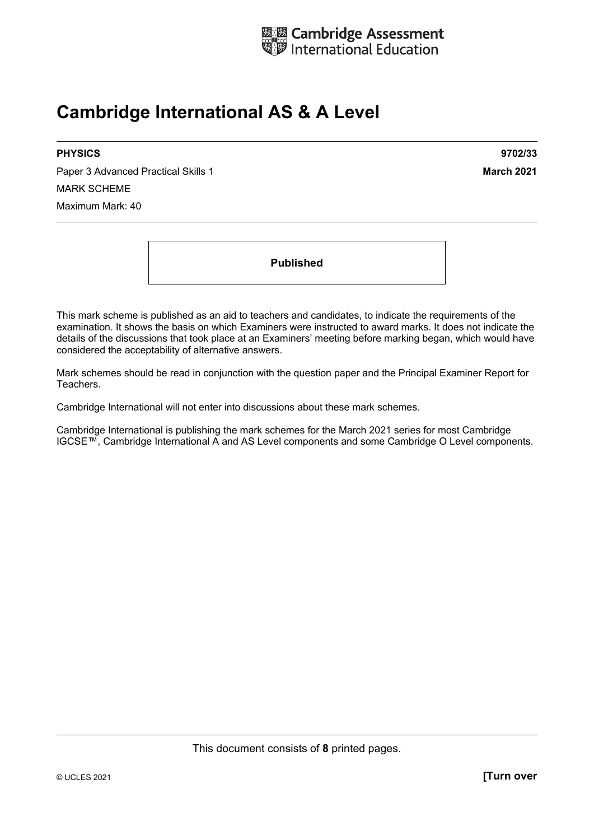

# **Cambridge International AS & A Level**

#### **PHYSICS 9702/33**

Paper 3 Advanced Practical Skills 1 **March 2021 March 2021** MARK SCHEME Maximum Mark: 40

**Published** 

This mark scheme is published as an aid to teachers and candidates, to indicate the requirements of the examination. It shows the basis on which Examiners were instructed to award marks. It does not indicate the details of the discussions that took place at an Examiners' meeting before marking began, which would have considered the acceptability of alternative answers.

Mark schemes should be read in conjunction with the question paper and the Principal Examiner Report for Teachers.

Cambridge International will not enter into discussions about these mark schemes.

Cambridge International is publishing the mark schemes for the March 2021 series for most Cambridge IGCSE™, Cambridge International A and AS Level components and some Cambridge O Level components.

This document consists of **8** printed pages.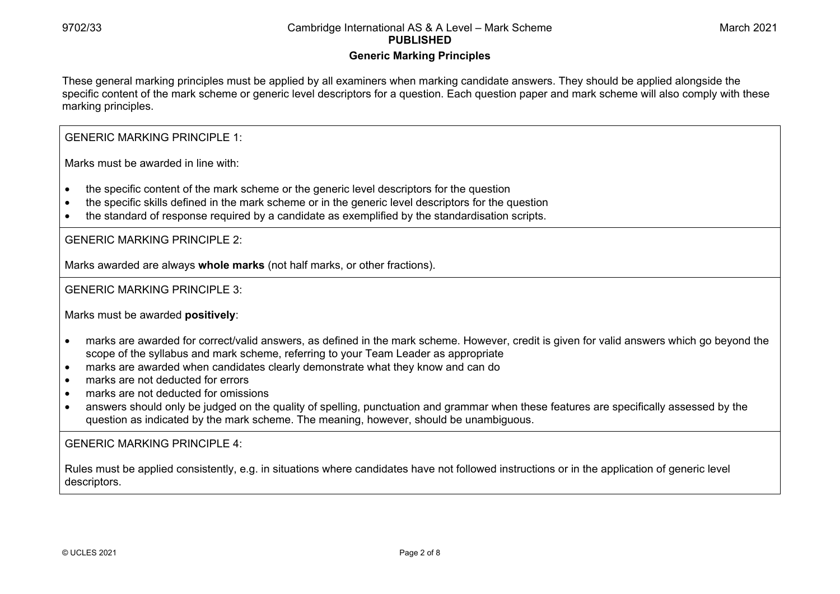#### **Generic Marking Principles**

These general marking principles must be applied by all examiners when marking candidate answers. They should be applied alongside the specific content of the mark scheme or generic level descriptors for a question. Each question paper and mark scheme will also comply with these marking principles.

GENERIC MARKING PRINCIPLE 1:

Marks must be awarded in line with:

- the specific content of the mark scheme or the generic level descriptors for the question
- the specific skills defined in the mark scheme or in the generic level descriptors for the question
- the standard of response required by a candidate as exemplified by the standardisation scripts.

GENERIC MARKING PRINCIPLE 2:

Marks awarded are always **whole marks** (not half marks, or other fractions).

GENERIC MARKING PRINCIPLE 3:

Marks must be awarded **positively**:

- marks are awarded for correct/valid answers, as defined in the mark scheme. However, credit is given for valid answers which go beyond the scope of the syllabus and mark scheme, referring to your Team Leader as appropriate
- marks are awarded when candidates clearly demonstrate what they know and can do
- marks are not deducted for errors
- marks are not deducted for omissions
- answers should only be judged on the quality of spelling, punctuation and grammar when these features are specifically assessed by the question as indicated by the mark scheme. The meaning, however, should be unambiguous.

GENERIC MARKING PRINCIPLE  $4<sup>T</sup>$ 

Rules must be applied consistently, e.g. in situations where candidates have not followed instructions or in the application of generic level descriptors.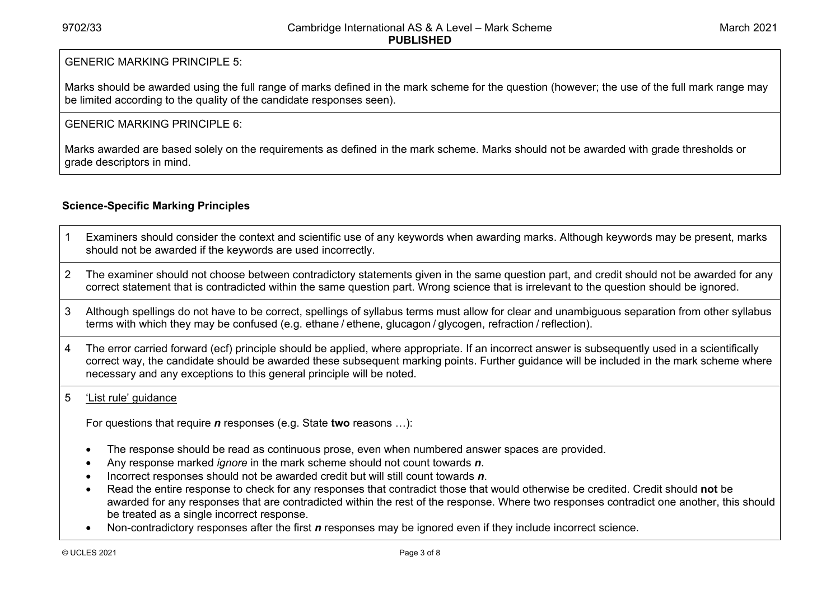# GENERIC MARKING PRINCIPLE 5:

Marks should be awarded using the full range of marks defined in the mark scheme for the question (however; the use of the full mark range may be limited according to the quality of the candidate responses seen).

# GENERIC MARKING PRINCIPLE 6:

Marks awarded are based solely on the requirements as defined in the mark scheme. Marks should not be awarded with grade thresholds or grade descriptors in mind.

# **Science-Specific Marking Principles**

- 1 Examiners should consider the context and scientific use of any keywords when awarding marks. Although keywords may be present, marks should not be awarded if the keywords are used incorrectly.
- 2 The examiner should not choose between contradictory statements given in the same question part, and credit should not be awarded for any correct statement that is contradicted within the same question part. Wrong science that is irrelevant to the question should be ignored.
- 3 Although spellings do not have to be correct, spellings of syllabus terms must allow for clear and unambiguous separation from other syllabus terms with which they may be confused (e.g. ethane / ethene, glucagon / glycogen, refraction / reflection).
- 4 The error carried forward (ecf) principle should be applied, where appropriate. If an incorrect answer is subsequently used in a scientifically correct way, the candidate should be awarded these subsequent marking points. Further guidance will be included in the mark scheme where necessary and any exceptions to this general principle will be noted.

#### 5 'List rule' guidance

For questions that require *<sup>n</sup>* responses (e.g. State **two** reasons …):

- The response should be read as continuous prose, even when numbered answer spaces are provided.
- Any response marked *ignore* in the mark scheme should not count towards *n*.
- Incorrect responses should not be awarded credit but will still count towards *n*.
- Read the entire response to check for any responses that contradict those that would otherwise be credited. Credit should **not** be awarded for any responses that are contradicted within the rest of the response. Where two responses contradict one another, this should be treated as a single incorrect response.
- Non-contradictory responses after the first *n* responses may be ignored even if they include incorrect science.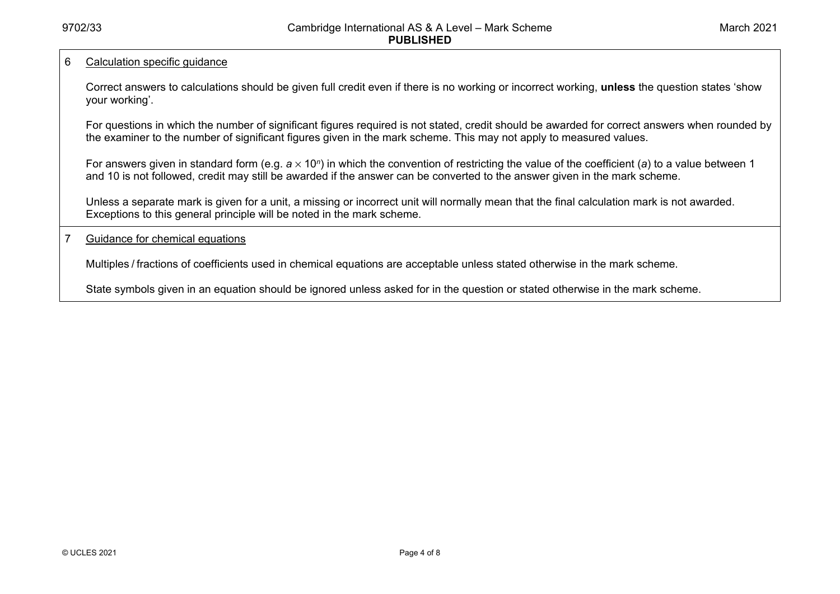#### 6 Calculation specific guidance

Correct answers to calculations should be given full credit even if there is no working or incorrect working, **unless** the question states 'show your working'.

For questions in which the number of significant figures required is not stated, credit should be awarded for correct answers when rounded by the examiner to the number of significant figures given in the mark scheme. This may not apply to measured values.

For answers given in standard form (e.g. *a* × 10<sup>*n*</sup>) in which the convention of restricting the value of the coefficient (*a*) to a value between 1 and 10 is not followed, credit may still be awarded if the answer can be converted to the answer given in the mark scheme.

Unless a separate mark is given for a unit, a missing or incorrect unit will normally mean that the final calculation mark is not awarded. Exceptions to this general principle will be noted in the mark scheme.

7 Guidance for chemical equations

Multiples / fractions of coefficients used in chemical equations are acceptable unless stated otherwise in the mark scheme.

State symbols given in an equation should be ignored unless asked for in the question or stated otherwise in the mark scheme.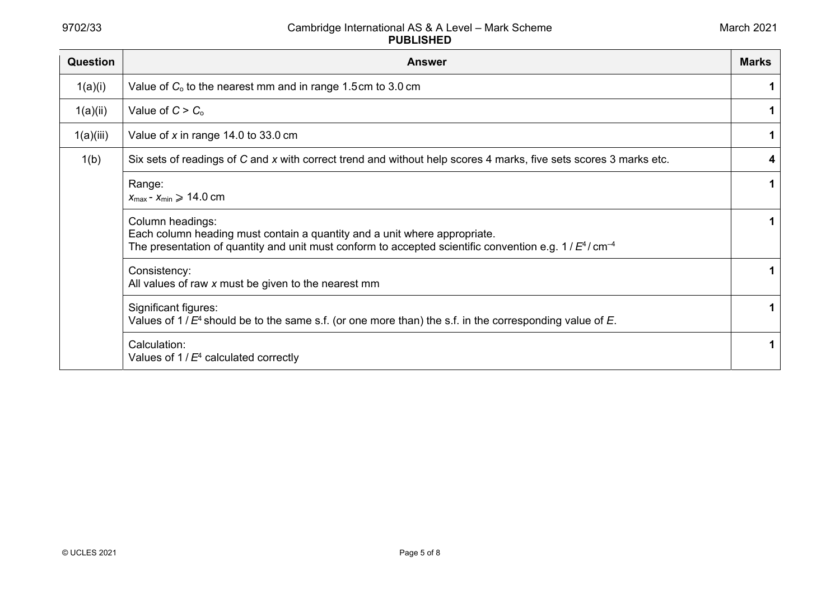| Question  | <b>Answer</b>                                                                                                                                                                                                         | <b>Marks</b> |
|-----------|-----------------------------------------------------------------------------------------------------------------------------------------------------------------------------------------------------------------------|--------------|
| 1(a)(i)   | Value of $C_0$ to the nearest mm and in range 1.5cm to 3.0 cm                                                                                                                                                         |              |
| 1(a)(ii)  | Value of $C > C_0$                                                                                                                                                                                                    | 1            |
| 1(a)(iii) | Value of x in range 14.0 to 33.0 cm                                                                                                                                                                                   | 1            |
| 1(b)      | Six sets of readings of C and x with correct trend and without help scores 4 marks, five sets scores 3 marks etc.                                                                                                     | 4            |
|           | Range:<br>$X_{\text{max}} - X_{\text{min}} \geqslant 14.0 \text{ cm}$                                                                                                                                                 |              |
|           | Column headings:<br>Each column heading must contain a quantity and a unit where appropriate.<br>The presentation of quantity and unit must conform to accepted scientific convention e.g. $1/E^4$ / cm <sup>-4</sup> |              |
|           | Consistency:<br>All values of raw x must be given to the nearest mm                                                                                                                                                   | 1            |
|           | Significant figures:<br>Values of $1/E4$ should be to the same s.f. (or one more than) the s.f. in the corresponding value of E.                                                                                      |              |
|           | Calculation:<br>Values of $1/E4$ calculated correctly                                                                                                                                                                 |              |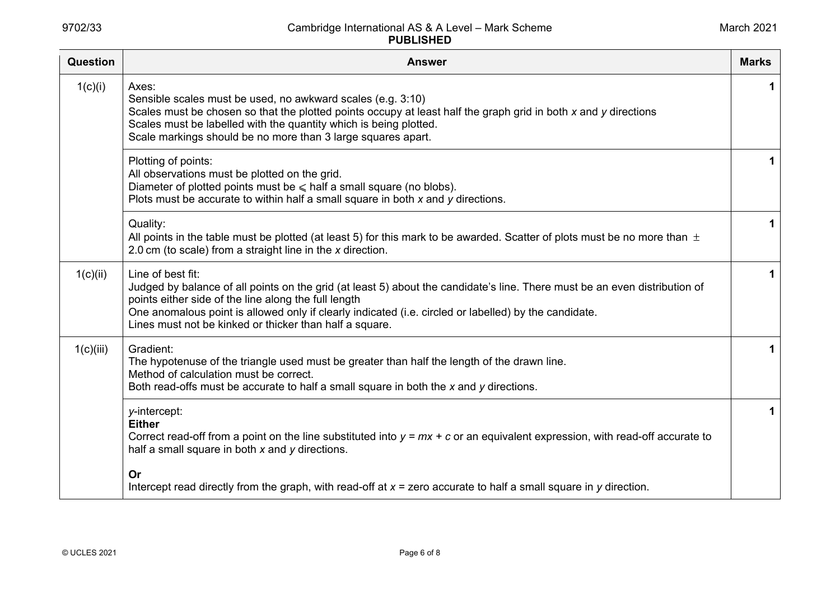| Question  | <b>Answer</b>                                                                                                                                                                                                                                                                                                                                                               | <b>Marks</b> |
|-----------|-----------------------------------------------------------------------------------------------------------------------------------------------------------------------------------------------------------------------------------------------------------------------------------------------------------------------------------------------------------------------------|--------------|
| 1(c)(i)   | Axes:<br>Sensible scales must be used, no awkward scales (e.g. 3:10)<br>Scales must be chosen so that the plotted points occupy at least half the graph grid in both x and y directions<br>Scales must be labelled with the quantity which is being plotted.<br>Scale markings should be no more than 3 large squares apart.                                                |              |
|           | Plotting of points:<br>All observations must be plotted on the grid.<br>Diameter of plotted points must be $\leq$ half a small square (no blobs).<br>Plots must be accurate to within half a small square in both $x$ and $y$ directions.                                                                                                                                   | 1            |
|           | Quality:<br>All points in the table must be plotted (at least 5) for this mark to be awarded. Scatter of plots must be no more than $\pm$<br>2.0 cm (to scale) from a straight line in the x direction.                                                                                                                                                                     | 1            |
| 1(c)(ii)  | Line of best fit:<br>Judged by balance of all points on the grid (at least 5) about the candidate's line. There must be an even distribution of<br>points either side of the line along the full length<br>One anomalous point is allowed only if clearly indicated (i.e. circled or labelled) by the candidate.<br>Lines must not be kinked or thicker than half a square. |              |
| 1(c)(iii) | Gradient:<br>The hypotenuse of the triangle used must be greater than half the length of the drawn line.<br>Method of calculation must be correct.<br>Both read-offs must be accurate to half a small square in both the x and y directions.                                                                                                                                | 1            |
|           | y-intercept:<br><b>Either</b><br>Correct read-off from a point on the line substituted into $y = mx + c$ or an equivalent expression, with read-off accurate to<br>half a small square in both $x$ and $y$ directions.                                                                                                                                                      | 1            |
|           | Or<br>Intercept read directly from the graph, with read-off at $x =$ zero accurate to half a small square in y direction.                                                                                                                                                                                                                                                   |              |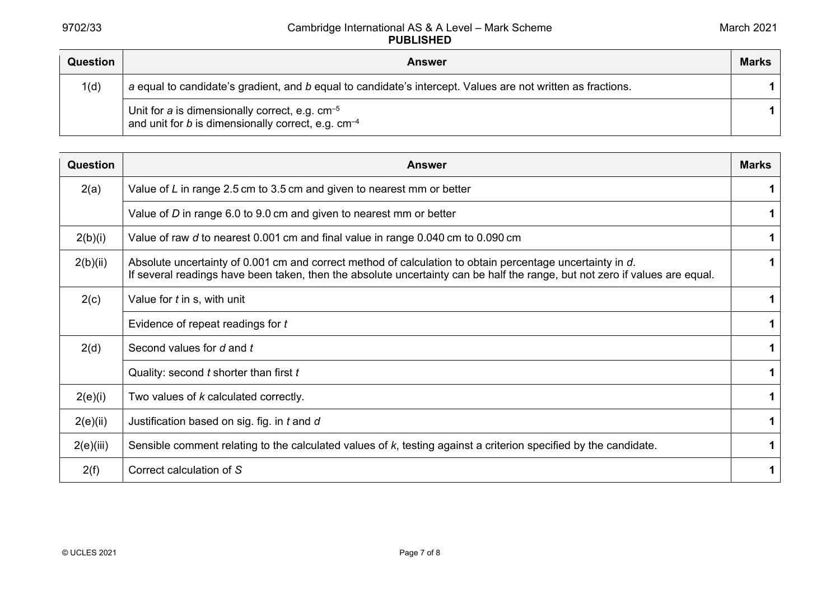| Question | <b>Answer</b>                                                                                                  | <b>Marks</b> |
|----------|----------------------------------------------------------------------------------------------------------------|--------------|
| 1(d)     | a equal to candidate's gradient, and b equal to candidate's intercept. Values are not written as fractions.    |              |
|          | Unit for a is dimensionally correct, e.g. $cm^{-5}$<br>and unit for b is dimensionally correct, e.g. $cm^{-4}$ |              |

| Question  | <b>Answer</b>                                                                                                                                                                                                                            | <b>Marks</b> |
|-----------|------------------------------------------------------------------------------------------------------------------------------------------------------------------------------------------------------------------------------------------|--------------|
| 2(a)      | Value of $L$ in range 2.5 cm to 3.5 cm and given to nearest mm or better                                                                                                                                                                 | 1            |
|           | Value of D in range 6.0 to 9.0 cm and given to nearest mm or better                                                                                                                                                                      | 1            |
| 2(b)(i)   | Value of raw d to nearest 0.001 cm and final value in range 0.040 cm to 0.090 cm                                                                                                                                                         | 1.           |
| 2(b)(ii)  | Absolute uncertainty of 0.001 cm and correct method of calculation to obtain percentage uncertainty in d.<br>If several readings have been taken, then the absolute uncertainty can be half the range, but not zero if values are equal. |              |
| 2(c)      | Value for t in s, with unit                                                                                                                                                                                                              | 1.           |
|           | Evidence of repeat readings for t                                                                                                                                                                                                        | $\mathbf 1$  |
| 2(d)      | Second values for d and t                                                                                                                                                                                                                | $\mathbf 1$  |
|           | Quality: second t shorter than first t                                                                                                                                                                                                   | 1            |
| 2(e)(i)   | Two values of k calculated correctly.                                                                                                                                                                                                    | $\mathbf 1$  |
| 2(e)(ii)  | Justification based on sig. fig. in t and d                                                                                                                                                                                              | 1            |
| 2(e)(iii) | Sensible comment relating to the calculated values of $k$ , testing against a criterion specified by the candidate.                                                                                                                      |              |
| 2(f)      | Correct calculation of S                                                                                                                                                                                                                 | 1            |